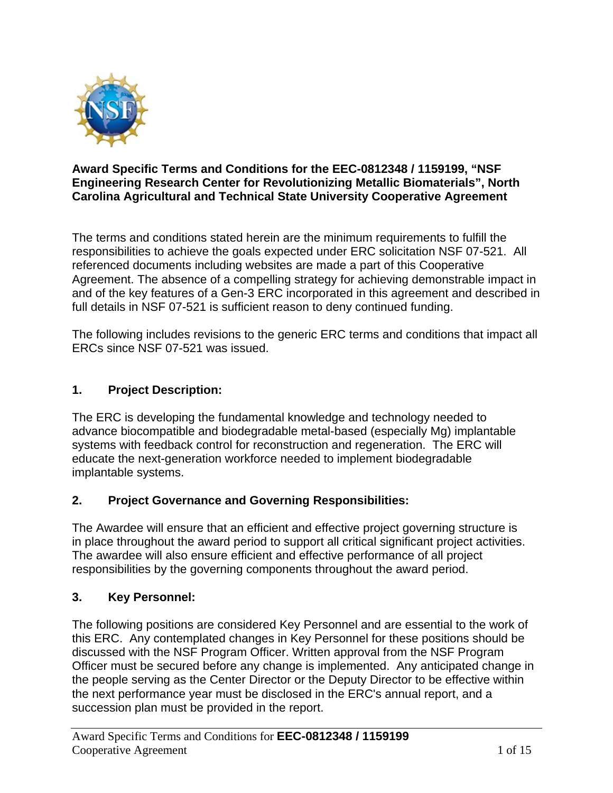

### **Award Specific Terms and Conditions for the EEC-0812348 / 1159199, "NSF Engineering Research Center for Revolutionizing Metallic Biomaterials", North Carolina Agricultural and Technical State University Cooperative Agreement**

The terms and conditions stated herein are the minimum requirements to fulfill the responsibilities to achieve the goals expected under ERC solicitation NSF 07-521. All referenced documents including websites are made a part of this Cooperative Agreement. The absence of a compelling strategy for achieving demonstrable impact in and of the key features of a Gen-3 ERC incorporated in this agreement and described in full details in NSF 07-521 is sufficient reason to deny continued funding.

The following includes revisions to the generic ERC terms and conditions that impact all ERCs since NSF 07-521 was issued.

# **1. Project Description:**

The ERC is developing the fundamental knowledge and technology needed to advance biocompatible and biodegradable metal-based (especially Mg) implantable systems with feedback control for reconstruction and regeneration. The ERC will educate the next-generation workforce needed to implement biodegradable implantable systems.

# **2. Project Governance and Governing Responsibilities:**

The Awardee will ensure that an efficient and effective project governing structure is in place throughout the award period to support all critical significant project activities. The awardee will also ensure efficient and effective performance of all project responsibilities by the governing components throughout the award period.

# **3. Key Personnel:**

The following positions are considered Key Personnel and are essential to the work of this ERC. Any contemplated changes in Key Personnel for these positions should be discussed with the NSF Program Officer. Written approval from the NSF Program Officer must be secured before any change is implemented. Any anticipated change in the people serving as the Center Director or the Deputy Director to be effective within the next performance year must be disclosed in the ERC's annual report, and a succession plan must be provided in the report.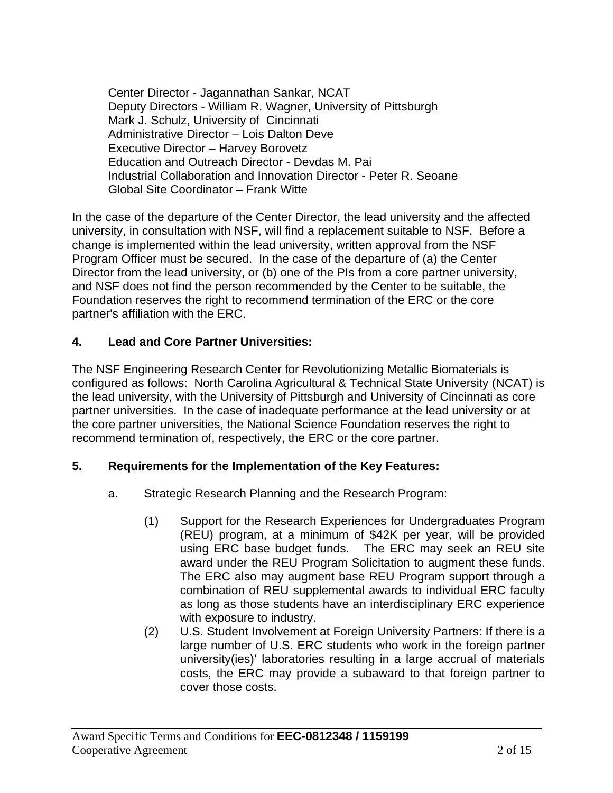Center Director - Jagannathan Sankar, NCAT Deputy Directors - William R. Wagner, University of Pittsburgh Mark J. Schulz, University of Cincinnati Administrative Director – Lois Dalton Deve Executive Director – Harvey Borovetz Education and Outreach Director - Devdas M. Pai Industrial Collaboration and Innovation Director - Peter R. Seoane Global Site Coordinator – Frank Witte

In the case of the departure of the Center Director, the lead university and the affected university, in consultation with NSF, will find a replacement suitable to NSF. Before a change is implemented within the lead university, written approval from the NSF Program Officer must be secured. In the case of the departure of (a) the Center Director from the lead university, or (b) one of the PIs from a core partner university, and NSF does not find the person recommended by the Center to be suitable, the Foundation reserves the right to recommend termination of the ERC or the core partner's affiliation with the ERC.

### **4. Lead and Core Partner Universities:**

The NSF Engineering Research Center for Revolutionizing Metallic Biomaterials is configured as follows: North Carolina Agricultural & Technical State University (NCAT) is the lead university, with the University of Pittsburgh and University of Cincinnati as core partner universities. In the case of inadequate performance at the lead university or at the core partner universities, the National Science Foundation reserves the right to recommend termination of, respectively, the ERC or the core partner.

### **5. Requirements for the Implementation of the Key Features:**

- a. Strategic Research Planning and the Research Program:
	- (1) Support for the Research Experiences for Undergraduates Program (REU) program, at a minimum of \$42K per year, will be provided using ERC base budget funds. The ERC may seek an REU site award under the REU Program Solicitation to augment these funds. The ERC also may augment base REU Program support through a combination of REU supplemental awards to individual ERC faculty as long as those students have an interdisciplinary ERC experience with exposure to industry.
	- (2) U.S. Student Involvement at Foreign University Partners: If there is a large number of U.S. ERC students who work in the foreign partner university(ies)' laboratories resulting in a large accrual of materials costs, the ERC may provide a subaward to that foreign partner to cover those costs.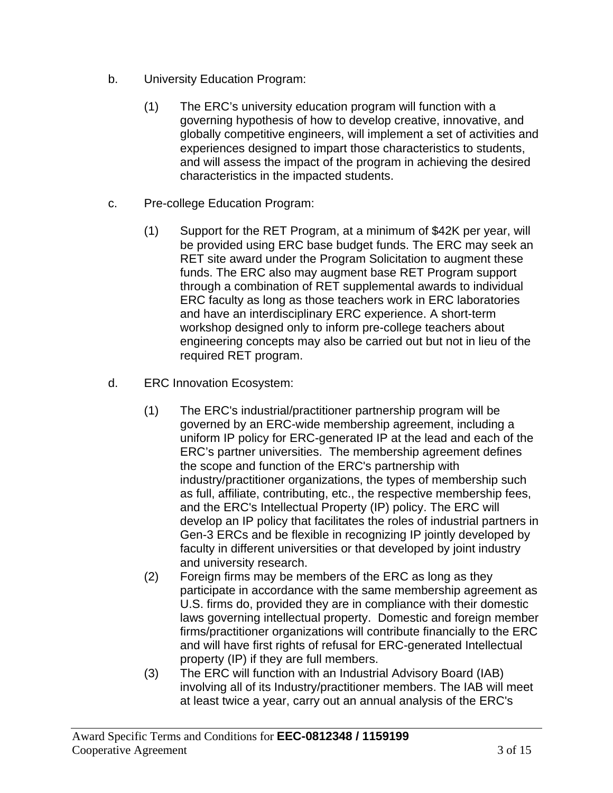- b. University Education Program:
	- (1) The ERC's university education program will function with a governing hypothesis of how to develop creative, innovative, and globally competitive engineers, will implement a set of activities and experiences designed to impart those characteristics to students, and will assess the impact of the program in achieving the desired characteristics in the impacted students.
- c. Pre-college Education Program:
	- (1) Support for the RET Program, at a minimum of \$42K per year, will be provided using ERC base budget funds. The ERC may seek an RET site award under the Program Solicitation to augment these funds. The ERC also may augment base RET Program support through a combination of RET supplemental awards to individual ERC faculty as long as those teachers work in ERC laboratories and have an interdisciplinary ERC experience. A short-term workshop designed only to inform pre-college teachers about engineering concepts may also be carried out but not in lieu of the required RET program.
- d. ERC Innovation Ecosystem:
	- (1) The ERC's industrial/practitioner partnership program will be governed by an ERC-wide membership agreement, including a uniform IP policy for ERC-generated IP at the lead and each of the ERC's partner universities. The membership agreement defines the scope and function of the ERC's partnership with industry/practitioner organizations, the types of membership such as full, affiliate, contributing, etc., the respective membership fees, and the ERC's Intellectual Property (IP) policy. The ERC will develop an IP policy that facilitates the roles of industrial partners in Gen-3 ERCs and be flexible in recognizing IP jointly developed by faculty in different universities or that developed by joint industry and university research.
	- (2) Foreign firms may be members of the ERC as long as they participate in accordance with the same membership agreement as U.S. firms do, provided they are in compliance with their domestic laws governing intellectual property. Domestic and foreign member firms/practitioner organizations will contribute financially to the ERC and will have first rights of refusal for ERC-generated Intellectual property (IP) if they are full members.
	- (3) The ERC will function with an Industrial Advisory Board (IAB) involving all of its Industry/practitioner members. The IAB will meet at least twice a year, carry out an annual analysis of the ERC's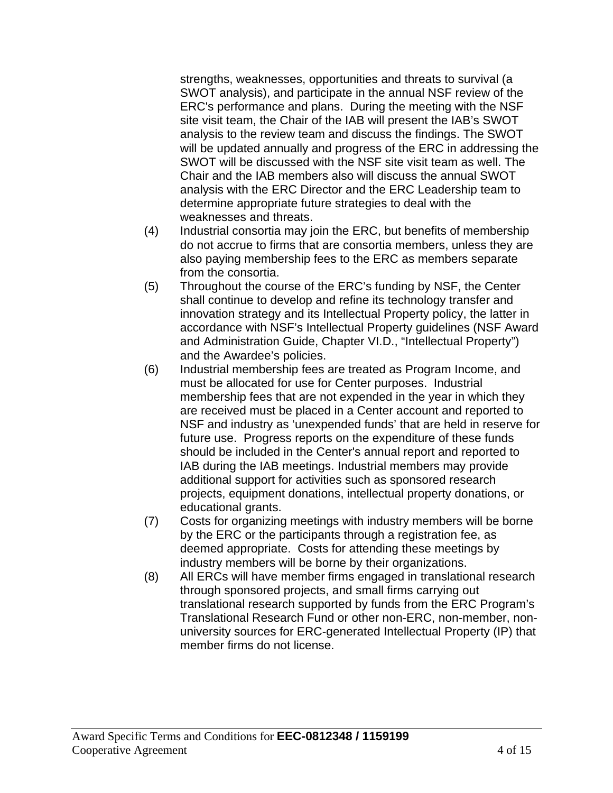strengths, weaknesses, opportunities and threats to survival (a SWOT analysis), and participate in the annual NSF review of the ERC's performance and plans. During the meeting with the NSF site visit team, the Chair of the IAB will present the IAB's SWOT analysis to the review team and discuss the findings. The SWOT will be updated annually and progress of the ERC in addressing the SWOT will be discussed with the NSF site visit team as well. The Chair and the IAB members also will discuss the annual SWOT analysis with the ERC Director and the ERC Leadership team to determine appropriate future strategies to deal with the weaknesses and threats.

- (4) Industrial consortia may join the ERC, but benefits of membership do not accrue to firms that are consortia members, unless they are also paying membership fees to the ERC as members separate from the consortia.
- (5) Throughout the course of the ERC's funding by NSF, the Center shall continue to develop and refine its technology transfer and innovation strategy and its Intellectual Property policy, the latter in accordance with NSF's Intellectual Property guidelines (NSF Award and Administration Guide, Chapter VI.D., "Intellectual Property") and the Awardee's policies.
- (6) Industrial membership fees are treated as Program Income, and must be allocated for use for Center purposes. Industrial membership fees that are not expended in the year in which they are received must be placed in a Center account and reported to NSF and industry as 'unexpended funds' that are held in reserve for future use. Progress reports on the expenditure of these funds should be included in the Center's annual report and reported to IAB during the IAB meetings. Industrial members may provide additional support for activities such as sponsored research projects, equipment donations, intellectual property donations, or educational grants.
- (7) Costs for organizing meetings with industry members will be borne by the ERC or the participants through a registration fee, as deemed appropriate. Costs for attending these meetings by industry members will be borne by their organizations.
- (8) All ERCs will have member firms engaged in translational research through sponsored projects, and small firms carrying out translational research supported by funds from the ERC Program's Translational Research Fund or other non-ERC, non-member, nonuniversity sources for ERC-generated Intellectual Property (IP) that member firms do not license.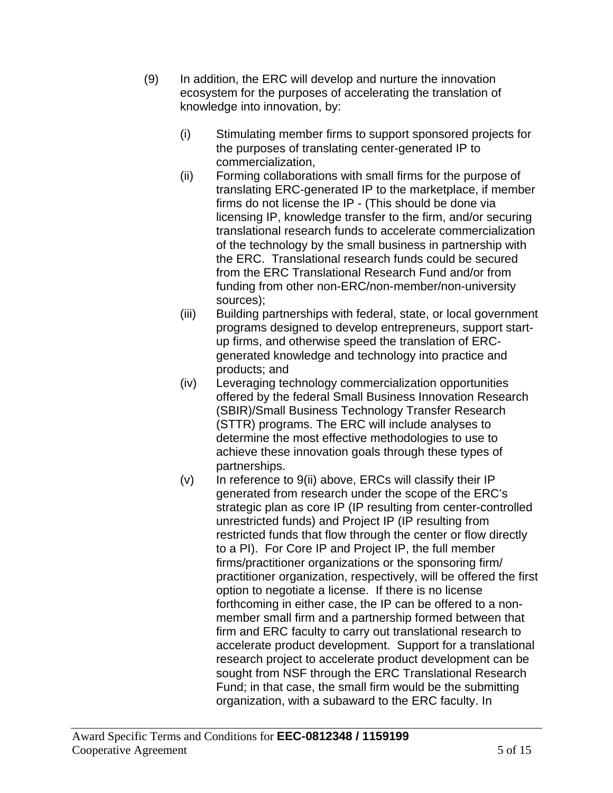- (9) In addition, the ERC will develop and nurture the innovation ecosystem for the purposes of accelerating the translation of knowledge into innovation, by:
	- (i) Stimulating member firms to support sponsored projects for the purposes of translating center-generated IP to commercialization,
	- (ii) Forming collaborations with small firms for the purpose of translating ERC-generated IP to the marketplace, if member firms do not license the IP - (This should be done via licensing IP, knowledge transfer to the firm, and/or securing translational research funds to accelerate commercialization of the technology by the small business in partnership with the ERC. Translational research funds could be secured from the ERC Translational Research Fund and/or from funding from other non-ERC/non-member/non-university sources);
	- (iii) Building partnerships with federal, state, or local government programs designed to develop entrepreneurs, support startup firms, and otherwise speed the translation of ERCgenerated knowledge and technology into practice and products; and
	- (iv) Leveraging technology commercialization opportunities offered by the federal Small Business Innovation Research (SBIR)/Small Business Technology Transfer Research (STTR) programs. The ERC will include analyses to determine the most effective methodologies to use to achieve these innovation goals through these types of partnerships.
	- $(v)$  In reference to  $9(ii)$  above, ERCs will classify their IP generated from research under the scope of the ERC's strategic plan as core IP (IP resulting from center-controlled unrestricted funds) and Project IP (IP resulting from restricted funds that flow through the center or flow directly to a PI). For Core IP and Project IP, the full member firms/practitioner organizations or the sponsoring firm/ practitioner organization, respectively, will be offered the first option to negotiate a license. If there is no license forthcoming in either case, the IP can be offered to a nonmember small firm and a partnership formed between that firm and ERC faculty to carry out translational research to accelerate product development. Support for a translational research project to accelerate product development can be sought from NSF through the ERC Translational Research Fund; in that case, the small firm would be the submitting organization, with a subaward to the ERC faculty. In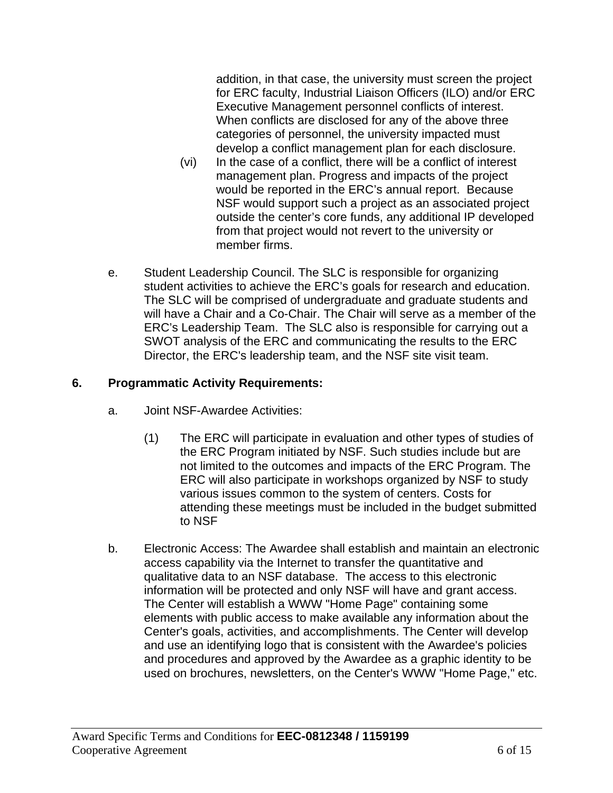addition, in that case, the university must screen the project for ERC faculty, Industrial Liaison Officers (ILO) and/or ERC Executive Management personnel conflicts of interest. When conflicts are disclosed for any of the above three categories of personnel, the university impacted must develop a conflict management plan for each disclosure.

- (vi) In the case of a conflict, there will be a conflict of interest management plan. Progress and impacts of the project would be reported in the ERC's annual report. Because NSF would support such a project as an associated project outside the center's core funds, any additional IP developed from that project would not revert to the university or member firms.
- e. Student Leadership Council. The SLC is responsible for organizing student activities to achieve the ERC's goals for research and education. The SLC will be comprised of undergraduate and graduate students and will have a Chair and a Co-Chair. The Chair will serve as a member of the ERC's Leadership Team. The SLC also is responsible for carrying out a SWOT analysis of the ERC and communicating the results to the ERC Director, the ERC's leadership team, and the NSF site visit team.

# **6. Programmatic Activity Requirements:**

- a. Joint NSF-Awardee Activities:
	- (1) The ERC will participate in evaluation and other types of studies of the ERC Program initiated by NSF. Such studies include but are not limited to the outcomes and impacts of the ERC Program. The ERC will also participate in workshops organized by NSF to study various issues common to the system of centers. Costs for attending these meetings must be included in the budget submitted to NSF
- b. Electronic Access: The Awardee shall establish and maintain an electronic access capability via the Internet to transfer the quantitative and qualitative data to an NSF database. The access to this electronic information will be protected and only NSF will have and grant access. The Center will establish a WWW "Home Page" containing some elements with public access to make available any information about the Center's goals, activities, and accomplishments. The Center will develop and use an identifying logo that is consistent with the Awardee's policies and procedures and approved by the Awardee as a graphic identity to be used on brochures, newsletters, on the Center's WWW "Home Page," etc.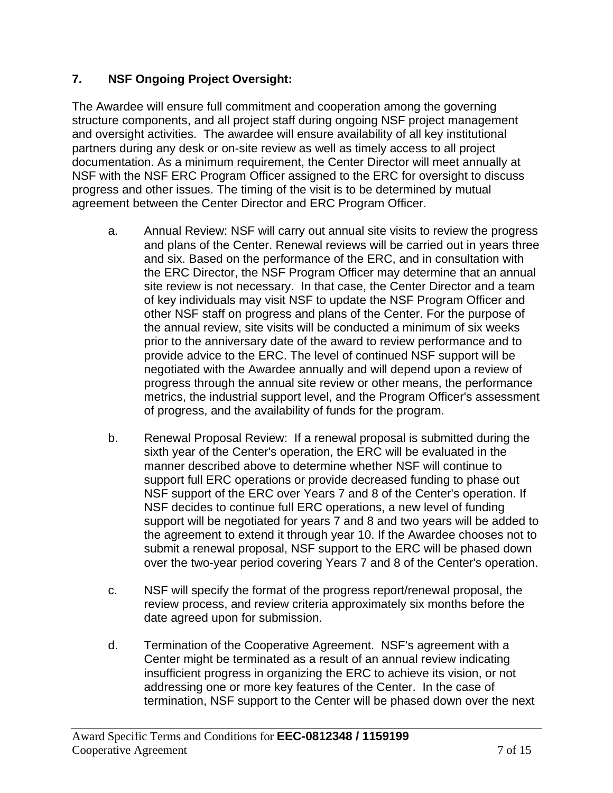# **7. NSF Ongoing Project Oversight:**

The Awardee will ensure full commitment and cooperation among the governing structure components, and all project staff during ongoing NSF project management and oversight activities. The awardee will ensure availability of all key institutional partners during any desk or on-site review as well as timely access to all project documentation. As a minimum requirement, the Center Director will meet annually at NSF with the NSF ERC Program Officer assigned to the ERC for oversight to discuss progress and other issues. The timing of the visit is to be determined by mutual agreement between the Center Director and ERC Program Officer.

- a. Annual Review: NSF will carry out annual site visits to review the progress and plans of the Center. Renewal reviews will be carried out in years three and six. Based on the performance of the ERC, and in consultation with the ERC Director, the NSF Program Officer may determine that an annual site review is not necessary. In that case, the Center Director and a team of key individuals may visit NSF to update the NSF Program Officer and other NSF staff on progress and plans of the Center. For the purpose of the annual review, site visits will be conducted a minimum of six weeks prior to the anniversary date of the award to review performance and to provide advice to the ERC. The level of continued NSF support will be negotiated with the Awardee annually and will depend upon a review of progress through the annual site review or other means, the performance metrics, the industrial support level, and the Program Officer's assessment of progress, and the availability of funds for the program.
- b. Renewal Proposal Review: If a renewal proposal is submitted during the sixth year of the Center's operation, the ERC will be evaluated in the manner described above to determine whether NSF will continue to support full ERC operations or provide decreased funding to phase out NSF support of the ERC over Years 7 and 8 of the Center's operation. If NSF decides to continue full ERC operations, a new level of funding support will be negotiated for years 7 and 8 and two years will be added to the agreement to extend it through year 10. If the Awardee chooses not to submit a renewal proposal, NSF support to the ERC will be phased down over the two-year period covering Years 7 and 8 of the Center's operation.
- c. NSF will specify the format of the progress report/renewal proposal, the review process, and review criteria approximately six months before the date agreed upon for submission.
- d. Termination of the Cooperative Agreement. NSF's agreement with a Center might be terminated as a result of an annual review indicating insufficient progress in organizing the ERC to achieve its vision, or not addressing one or more key features of the Center. In the case of termination, NSF support to the Center will be phased down over the next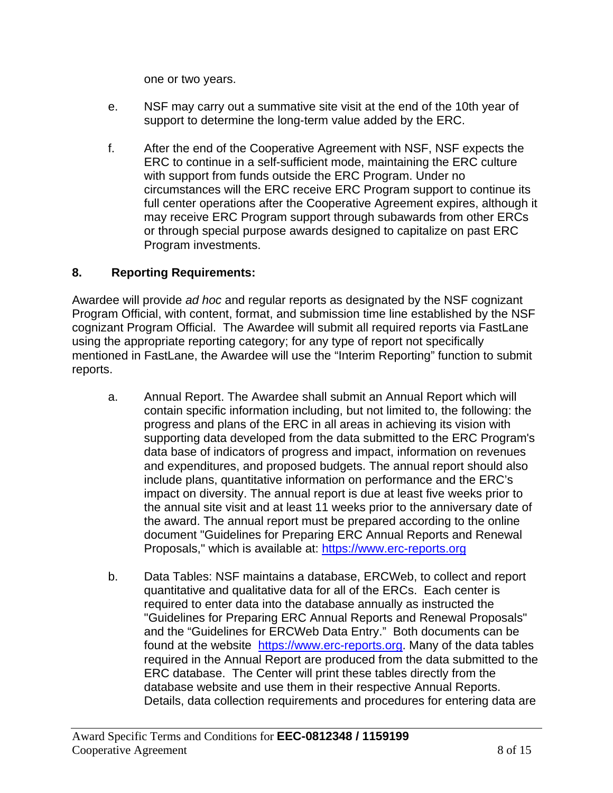one or two years.

- e. NSF may carry out a summative site visit at the end of the 10th year of support to determine the long-term value added by the ERC.
- f. After the end of the Cooperative Agreement with NSF, NSF expects the ERC to continue in a self-sufficient mode, maintaining the ERC culture with support from funds outside the ERC Program. Under no circumstances will the ERC receive ERC Program support to continue its full center operations after the Cooperative Agreement expires, although it may receive ERC Program support through subawards from other ERCs or through special purpose awards designed to capitalize on past ERC Program investments.

# **8. Reporting Requirements:**

Awardee will provide *ad hoc* and regular reports as designated by the NSF cognizant Program Official, with content, format, and submission time line established by the NSF cognizant Program Official. The Awardee will submit all required reports via FastLane using the appropriate reporting category; for any type of report not specifically mentioned in FastLane, the Awardee will use the "Interim Reporting" function to submit reports.

- a. Annual Report. The Awardee shall submit an Annual Report which will contain specific information including, but not limited to, the following: the progress and plans of the ERC in all areas in achieving its vision with supporting data developed from the data submitted to the ERC Program's data base of indicators of progress and impact, information on revenues and expenditures, and proposed budgets. The annual report should also include plans, quantitative information on performance and the ERC's impact on diversity. The annual report is due at least five weeks prior to the annual site visit and at least 11 weeks prior to the anniversary date of the award. The annual report must be prepared according to the online document "Guidelines for Preparing ERC Annual Reports and Renewal Proposals," which is available at: https://www.erc-reports.org
- b. Data Tables: NSF maintains a database, ERCWeb, to collect and report quantitative and qualitative data for all of the ERCs. Each center is required to enter data into the database annually as instructed the "Guidelines for Preparing ERC Annual Reports and Renewal Proposals" and the "Guidelines for ERCWeb Data Entry." Both documents can be found at the website https://www.erc-reports.org. Many of the data tables required in the Annual Report are produced from the data submitted to the ERC database. The Center will print these tables directly from the database website and use them in their respective Annual Reports. Details, data collection requirements and procedures for entering data are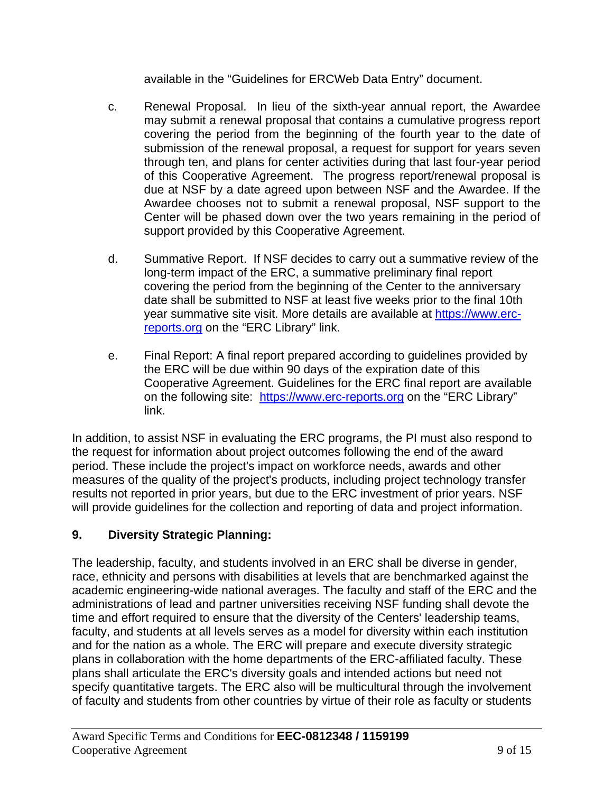available in the "Guidelines for ERCWeb Data Entry" document.

- c. Renewal Proposal. In lieu of the sixth-year annual report, the Awardee may submit a renewal proposal that contains a cumulative progress report covering the period from the beginning of the fourth year to the date of submission of the renewal proposal, a request for support for years seven through ten, and plans for center activities during that last four-year period of this Cooperative Agreement. The progress report/renewal proposal is due at NSF by a date agreed upon between NSF and the Awardee. If the Awardee chooses not to submit a renewal proposal, NSF support to the Center will be phased down over the two years remaining in the period of support provided by this Cooperative Agreement.
- d. Summative Report. If NSF decides to carry out a summative review of the long-term impact of the ERC, a summative preliminary final report covering the period from the beginning of the Center to the anniversary date shall be submitted to NSF at least five weeks prior to the final 10th year summative site visit. More details are available at https://www.ercreports.org on the "ERC Library" link.
- e. Final Report: A final report prepared according to guidelines provided by the ERC will be due within 90 days of the expiration date of this Cooperative Agreement. Guidelines for the ERC final report are available on the following site: https://www.erc-reports.org on the "ERC Library" link.

In addition, to assist NSF in evaluating the ERC programs, the PI must also respond to the request for information about project outcomes following the end of the award period. These include the project's impact on workforce needs, awards and other measures of the quality of the project's products, including project technology transfer results not reported in prior years, but due to the ERC investment of prior years. NSF will provide guidelines for the collection and reporting of data and project information.

# **9. Diversity Strategic Planning:**

The leadership, faculty, and students involved in an ERC shall be diverse in gender, race, ethnicity and persons with disabilities at levels that are benchmarked against the academic engineering-wide national averages. The faculty and staff of the ERC and the administrations of lead and partner universities receiving NSF funding shall devote the time and effort required to ensure that the diversity of the Centers' leadership teams, faculty, and students at all levels serves as a model for diversity within each institution and for the nation as a whole. The ERC will prepare and execute diversity strategic plans in collaboration with the home departments of the ERC-affiliated faculty. These plans shall articulate the ERC's diversity goals and intended actions but need not specify quantitative targets. The ERC also will be multicultural through the involvement of faculty and students from other countries by virtue of their role as faculty or students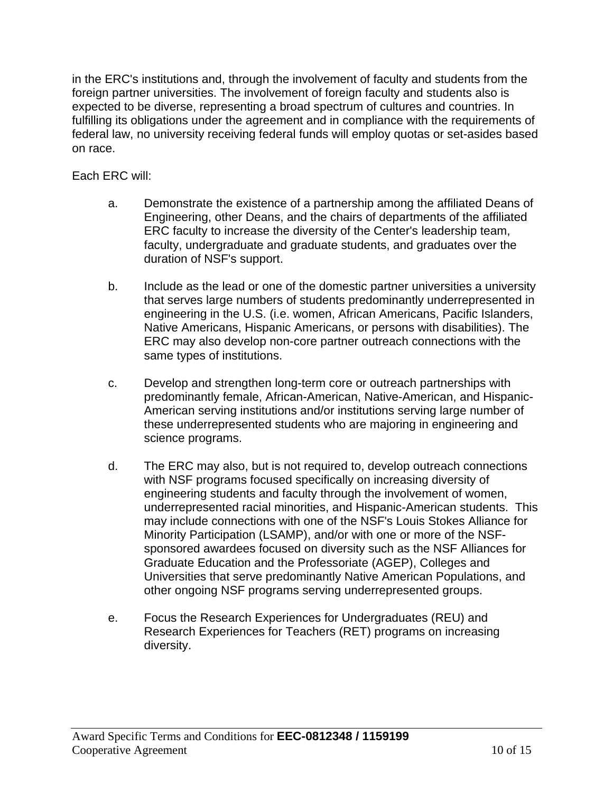in the ERC's institutions and, through the involvement of faculty and students from the foreign partner universities. The involvement of foreign faculty and students also is expected to be diverse, representing a broad spectrum of cultures and countries. In fulfilling its obligations under the agreement and in compliance with the requirements of federal law, no university receiving federal funds will employ quotas or set-asides based on race.

Each ERC will:

- a. Demonstrate the existence of a partnership among the affiliated Deans of Engineering, other Deans, and the chairs of departments of the affiliated ERC faculty to increase the diversity of the Center's leadership team, faculty, undergraduate and graduate students, and graduates over the duration of NSF's support.
- b. Include as the lead or one of the domestic partner universities a university that serves large numbers of students predominantly underrepresented in engineering in the U.S. (i.e. women, African Americans, Pacific Islanders, Native Americans, Hispanic Americans, or persons with disabilities). The ERC may also develop non-core partner outreach connections with the same types of institutions.
- c. Develop and strengthen long-term core or outreach partnerships with predominantly female, African-American, Native-American, and Hispanic-American serving institutions and/or institutions serving large number of these underrepresented students who are majoring in engineering and science programs.
- d. The ERC may also, but is not required to, develop outreach connections with NSF programs focused specifically on increasing diversity of engineering students and faculty through the involvement of women, underrepresented racial minorities, and Hispanic-American students. This may include connections with one of the NSF's Louis Stokes Alliance for Minority Participation (LSAMP), and/or with one or more of the NSFsponsored awardees focused on diversity such as the NSF Alliances for Graduate Education and the Professoriate (AGEP), Colleges and Universities that serve predominantly Native American Populations, and other ongoing NSF programs serving underrepresented groups.
- e. Focus the Research Experiences for Undergraduates (REU) and Research Experiences for Teachers (RET) programs on increasing diversity.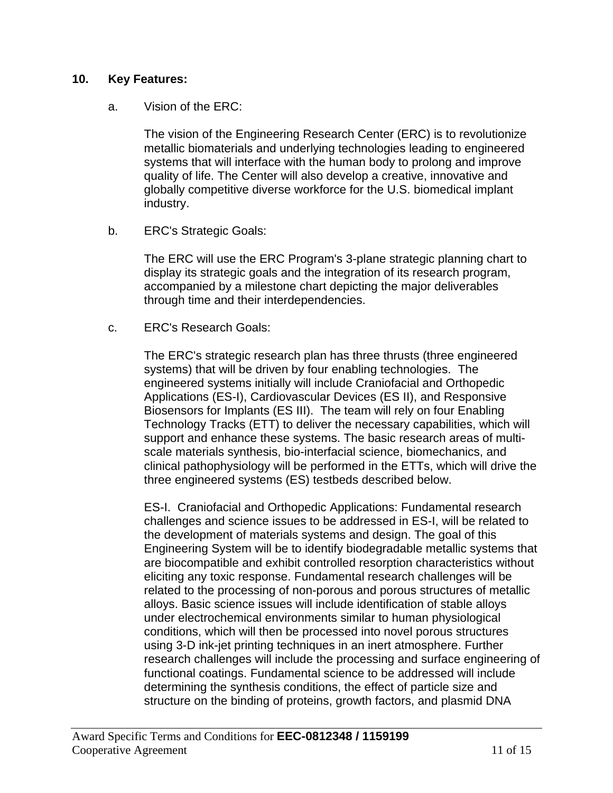#### **10. Key Features:**

#### a. Vision of the ERC:

The vision of the Engineering Research Center (ERC) is to revolutionize metallic biomaterials and underlying technologies leading to engineered systems that will interface with the human body to prolong and improve quality of life. The Center will also develop a creative, innovative and globally competitive diverse workforce for the U.S. biomedical implant industry.

b. ERC's Strategic Goals:

The ERC will use the ERC Program's 3-plane strategic planning chart to display its strategic goals and the integration of its research program, accompanied by a milestone chart depicting the major deliverables through time and their interdependencies.

c. ERC's Research Goals:

The ERC's strategic research plan has three thrusts (three engineered systems) that will be driven by four enabling technologies. The engineered systems initially will include Craniofacial and Orthopedic Applications (ES-I), Cardiovascular Devices (ES II), and Responsive Biosensors for Implants (ES III). The team will rely on four Enabling Technology Tracks (ETT) to deliver the necessary capabilities, which will support and enhance these systems. The basic research areas of multiscale materials synthesis, bio-interfacial science, biomechanics, and clinical pathophysiology will be performed in the ETTs, which will drive the three engineered systems (ES) testbeds described below.

ES-I. Craniofacial and Orthopedic Applications: Fundamental research challenges and science issues to be addressed in ES-I, will be related to the development of materials systems and design. The goal of this Engineering System will be to identify biodegradable metallic systems that are biocompatible and exhibit controlled resorption characteristics without eliciting any toxic response. Fundamental research challenges will be related to the processing of non-porous and porous structures of metallic alloys. Basic science issues will include identification of stable alloys under electrochemical environments similar to human physiological conditions, which will then be processed into novel porous structures using 3-D ink-jet printing techniques in an inert atmosphere. Further research challenges will include the processing and surface engineering of functional coatings. Fundamental science to be addressed will include determining the synthesis conditions, the effect of particle size and structure on the binding of proteins, growth factors, and plasmid DNA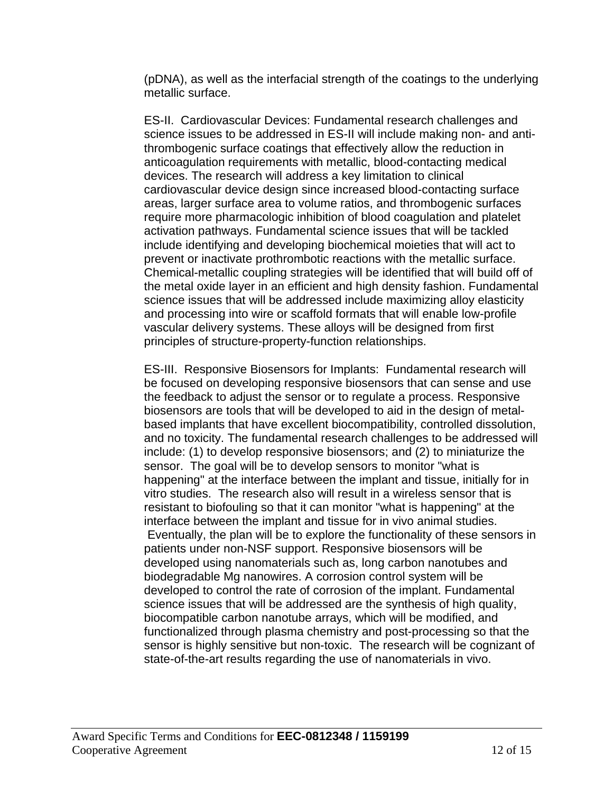(pDNA), as well as the interfacial strength of the coatings to the underlying metallic surface.

ES-II. Cardiovascular Devices: Fundamental research challenges and science issues to be addressed in ES-II will include making non- and antithrombogenic surface coatings that effectively allow the reduction in anticoagulation requirements with metallic, blood-contacting medical devices. The research will address a key limitation to clinical cardiovascular device design since increased blood-contacting surface areas, larger surface area to volume ratios, and thrombogenic surfaces require more pharmacologic inhibition of blood coagulation and platelet activation pathways. Fundamental science issues that will be tackled include identifying and developing biochemical moieties that will act to prevent or inactivate prothrombotic reactions with the metallic surface. Chemical-metallic coupling strategies will be identified that will build off of the metal oxide layer in an efficient and high density fashion. Fundamental science issues that will be addressed include maximizing alloy elasticity and processing into wire or scaffold formats that will enable low-profile vascular delivery systems. These alloys will be designed from first principles of structure-property-function relationships.

ES-III. Responsive Biosensors for Implants: Fundamental research will be focused on developing responsive biosensors that can sense and use the feedback to adjust the sensor or to regulate a process. Responsive biosensors are tools that will be developed to aid in the design of metalbased implants that have excellent biocompatibility, controlled dissolution, and no toxicity. The fundamental research challenges to be addressed will include: (1) to develop responsive biosensors; and (2) to miniaturize the sensor. The goal will be to develop sensors to monitor "what is happening" at the interface between the implant and tissue, initially for in vitro studies. The research also will result in a wireless sensor that is resistant to biofouling so that it can monitor "what is happening" at the interface between the implant and tissue for in vivo animal studies. Eventually, the plan will be to explore the functionality of these sensors in patients under non-NSF support. Responsive biosensors will be developed using nanomaterials such as, long carbon nanotubes and biodegradable Mg nanowires. A corrosion control system will be developed to control the rate of corrosion of the implant. Fundamental science issues that will be addressed are the synthesis of high quality, biocompatible carbon nanotube arrays, which will be modified, and functionalized through plasma chemistry and post-processing so that the sensor is highly sensitive but non-toxic. The research will be cognizant of state-of-the-art results regarding the use of nanomaterials in vivo.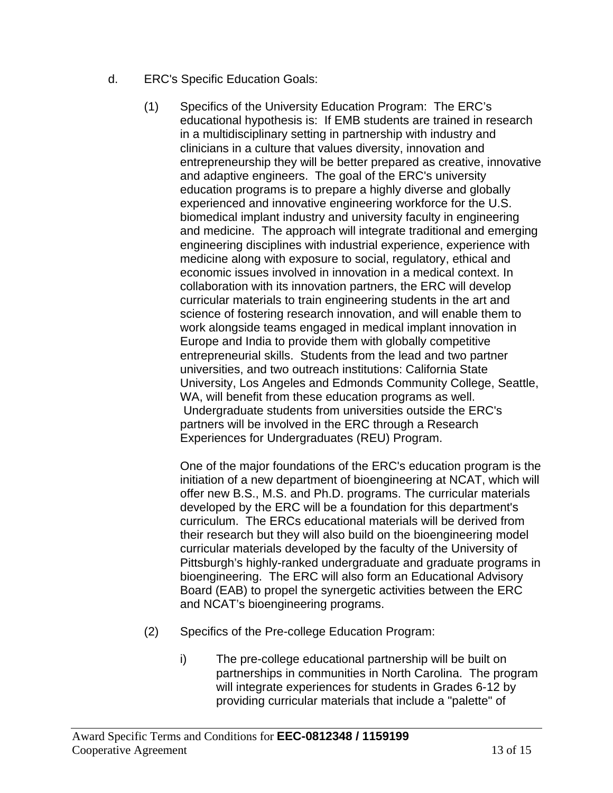- d. ERC's Specific Education Goals:
	- (1) Specifics of the University Education Program: The ERC's educational hypothesis is: If EMB students are trained in research in a multidisciplinary setting in partnership with industry and clinicians in a culture that values diversity, innovation and entrepreneurship they will be better prepared as creative, innovative and adaptive engineers. The goal of the ERC's university education programs is to prepare a highly diverse and globally experienced and innovative engineering workforce for the U.S. biomedical implant industry and university faculty in engineering and medicine. The approach will integrate traditional and emerging engineering disciplines with industrial experience, experience with medicine along with exposure to social, regulatory, ethical and economic issues involved in innovation in a medical context. In collaboration with its innovation partners, the ERC will develop curricular materials to train engineering students in the art and science of fostering research innovation, and will enable them to work alongside teams engaged in medical implant innovation in Europe and India to provide them with globally competitive entrepreneurial skills. Students from the lead and two partner universities, and two outreach institutions: California State University, Los Angeles and Edmonds Community College, Seattle, WA, will benefit from these education programs as well. Undergraduate students from universities outside the ERC's partners will be involved in the ERC through a Research Experiences for Undergraduates (REU) Program.

One of the major foundations of the ERC's education program is the initiation of a new department of bioengineering at NCAT, which will offer new B.S., M.S. and Ph.D. programs. The curricular materials developed by the ERC will be a foundation for this department's curriculum. The ERCs educational materials will be derived from their research but they will also build on the bioengineering model curricular materials developed by the faculty of the University of Pittsburgh's highly-ranked undergraduate and graduate programs in bioengineering. The ERC will also form an Educational Advisory Board (EAB) to propel the synergetic activities between the ERC and NCAT's bioengineering programs.

- (2) Specifics of the Pre-college Education Program:
	- i) The pre-college educational partnership will be built on partnerships in communities in North Carolina. The program will integrate experiences for students in Grades 6-12 by providing curricular materials that include a "palette" of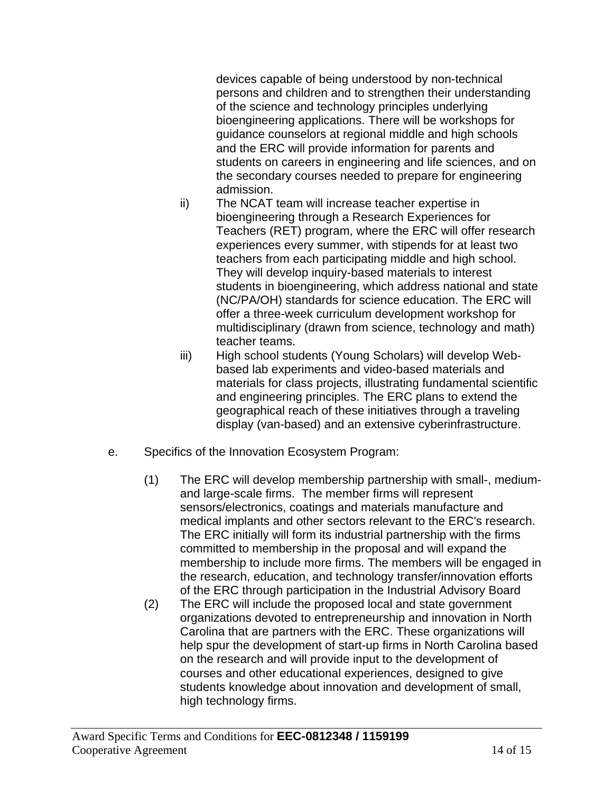devices capable of being understood by non-technical persons and children and to strengthen their understanding of the science and technology principles underlying bioengineering applications. There will be workshops for guidance counselors at regional middle and high schools and the ERC will provide information for parents and students on careers in engineering and life sciences, and on the secondary courses needed to prepare for engineering admission.

- ii) The NCAT team will increase teacher expertise in bioengineering through a Research Experiences for Teachers (RET) program, where the ERC will offer research experiences every summer, with stipends for at least two teachers from each participating middle and high school. They will develop inquiry-based materials to interest students in bioengineering, which address national and state (NC/PA/OH) standards for science education. The ERC will offer a three-week curriculum development workshop for multidisciplinary (drawn from science, technology and math) teacher teams.
- iii) High school students (Young Scholars) will develop Webbased lab experiments and video-based materials and materials for class projects, illustrating fundamental scientific and engineering principles. The ERC plans to extend the geographical reach of these initiatives through a traveling display (van-based) and an extensive cyberinfrastructure.
- e. Specifics of the Innovation Ecosystem Program:
	- (1) The ERC will develop membership partnership with small-, mediumand large-scale firms. The member firms will represent sensors/electronics, coatings and materials manufacture and medical implants and other sectors relevant to the ERC's research. The ERC initially will form its industrial partnership with the firms committed to membership in the proposal and will expand the membership to include more firms. The members will be engaged in the research, education, and technology transfer/innovation efforts of the ERC through participation in the Industrial Advisory Board
	- (2) The ERC will include the proposed local and state government organizations devoted to entrepreneurship and innovation in North Carolina that are partners with the ERC. These organizations will help spur the development of start-up firms in North Carolina based on the research and will provide input to the development of courses and other educational experiences, designed to give students knowledge about innovation and development of small, high technology firms.